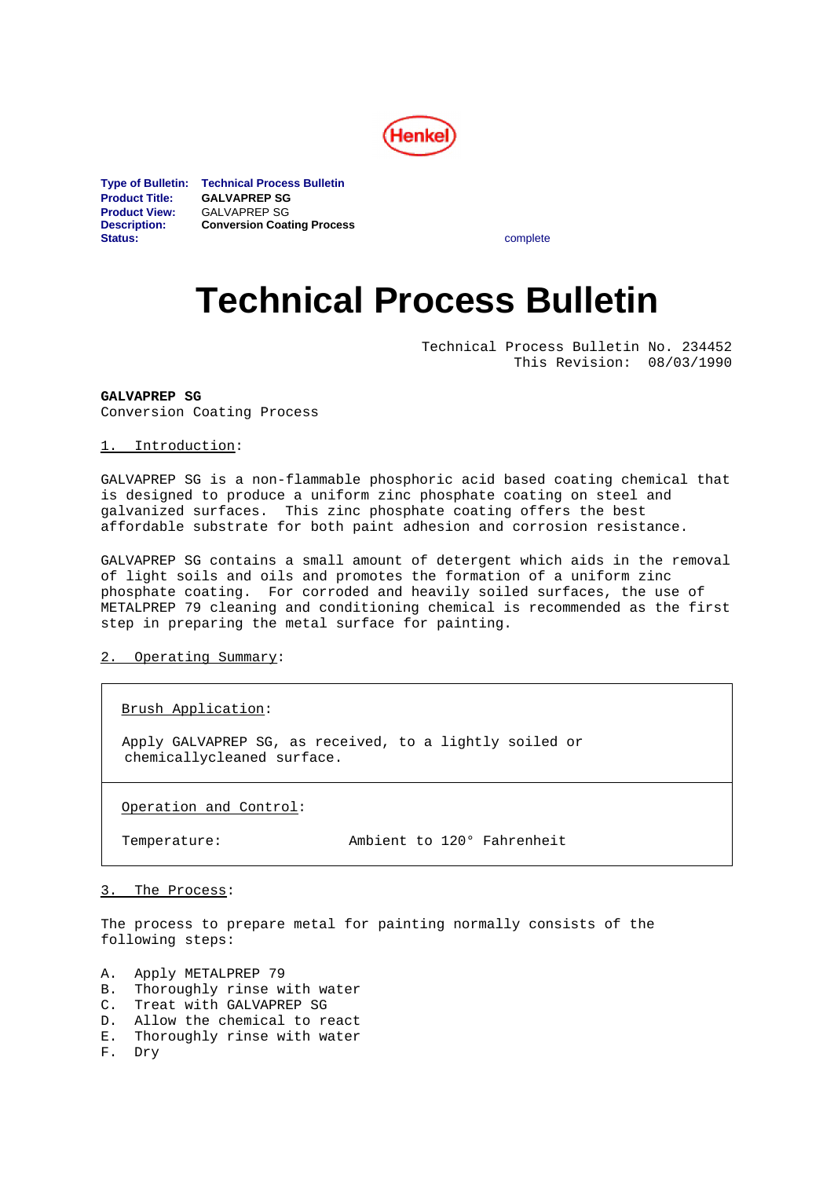

**Type of Bulletin: Technical Process Bulletin Product Title: GALVAPREP SG Product View:** GALVAPREP SG<br>**Description: Conversion Coat Description: Conversion Coating Process Status:** complete

# **Technical Process Bulletin**

Technical Process Bulletin No. 234452 This Revision: 08/03/1990

**GALVAPREP SG** Conversion Coating Process

# 1. Introduction:

GALVAPREP SG is a non-flammable phosphoric acid based coating chemical that is designed to produce a uniform zinc phosphate coating on steel and galvanized surfaces. This zinc phosphate coating offers the best affordable substrate for both paint adhesion and corrosion resistance.

GALVAPREP SG contains a small amount of detergent which aids in the removal of light soils and oils and promotes the formation of a uniform zinc phosphate coating. For corroded and heavily soiled surfaces, the use of METALPREP 79 cleaning and conditioning chemical is recommended as the first step in preparing the metal surface for painting.

# 2. Operating Summary:

Brush Application:

 Apply GALVAPREP SG, as received, to a lightly soiled or chemicallycleaned surface.

Operation and Control:

Temperature: Ambient to 120° Fahrenheit

#### 3. The Process:

The process to prepare metal for painting normally consists of the following steps:

A. Apply METALPREP 79<br>B. Thoroughly rinse w

- Thoroughly rinse with water
- C. Treat with GALVAPREP SG<br>D. Allow the chemical to re
- Allow the chemical to react
- E. Thoroughly rinse with water
- F. Dry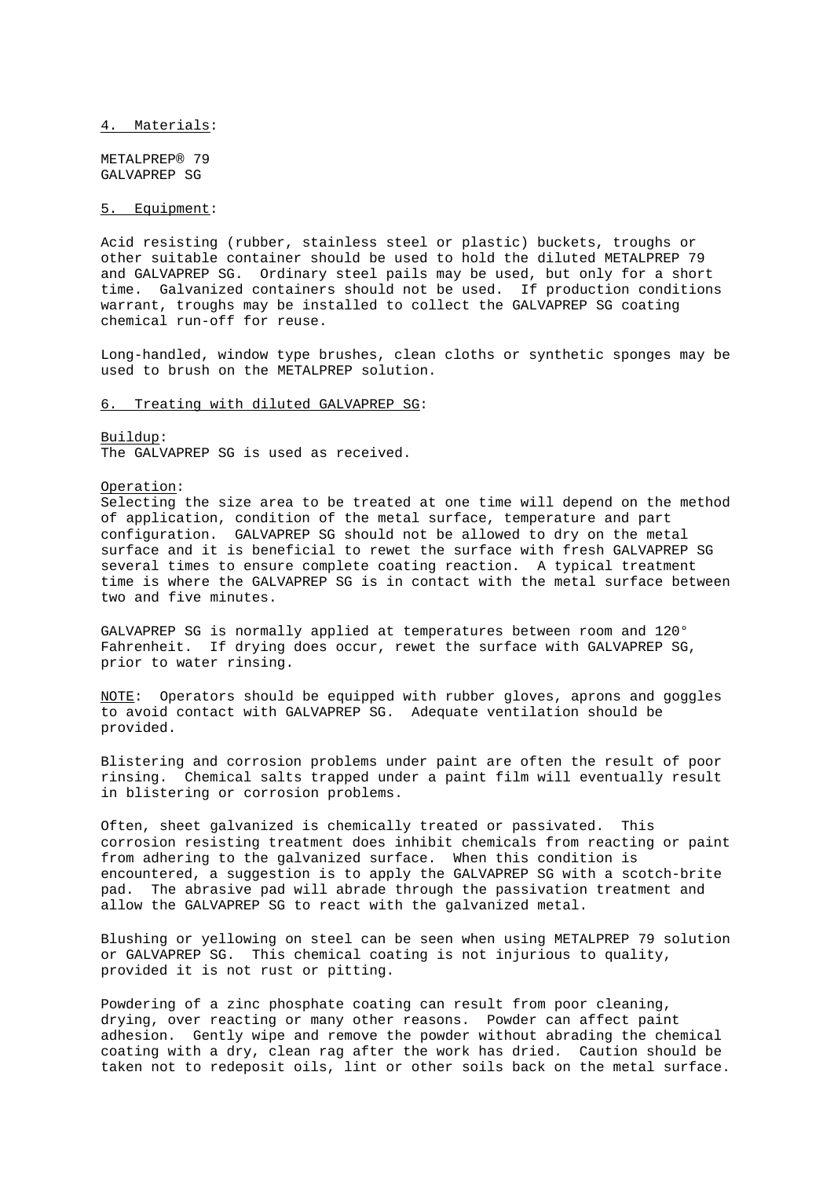4. Materials:

METALPREP® 79 GALVAPREP SG

# 5. Equipment:

Acid resisting (rubber, stainless steel or plastic) buckets, troughs or other suitable container should be used to hold the diluted METALPREP 79 and GALVAPREP SG. Ordinary steel pails may be used, but only for a short time. Galvanized containers should not be used. If production conditions warrant, troughs may be installed to collect the GALVAPREP SG coating chemical run-off for reuse.

Long-handled, window type brushes, clean cloths or synthetic sponges may be used to brush on the METALPREP solution.

#### 6. Treating with diluted GALVAPREP SG:

Buildup: The GALVAPREP SG is used as received.

# Operation:

Selecting the size area to be treated at one time will depend on the method of application, condition of the metal surface, temperature and part configuration. GALVAPREP SG should not be allowed to dry on the metal surface and it is beneficial to rewet the surface with fresh GALVAPREP SG several times to ensure complete coating reaction. A typical treatment time is where the GALVAPREP SG is in contact with the metal surface between two and five minutes.

GALVAPREP SG is normally applied at temperatures between room and 120° Fahrenheit. If drying does occur, rewet the surface with GALVAPREP SG, prior to water rinsing.

NOTE: Operators should be equipped with rubber gloves, aprons and goggles to avoid contact with GALVAPREP SG. Adequate ventilation should be provided.

Blistering and corrosion problems under paint are often the result of poor rinsing. Chemical salts trapped under a paint film will eventually result in blistering or corrosion problems.

Often, sheet galvanized is chemically treated or passivated. This corrosion resisting treatment does inhibit chemicals from reacting or paint from adhering to the galvanized surface. When this condition is encountered, a suggestion is to apply the GALVAPREP SG with a scotch-brite pad. The abrasive pad will abrade through the passivation treatment and allow the GALVAPREP SG to react with the galvanized metal.

Blushing or yellowing on steel can be seen when using METALPREP 79 solution or GALVAPREP SG. This chemical coating is not injurious to quality, provided it is not rust or pitting.

Powdering of a zinc phosphate coating can result from poor cleaning, drying, over reacting or many other reasons. Powder can affect paint adhesion. Gently wipe and remove the powder without abrading the chemical coating with a dry, clean rag after the work has dried. Caution should be taken not to redeposit oils, lint or other soils back on the metal surface.